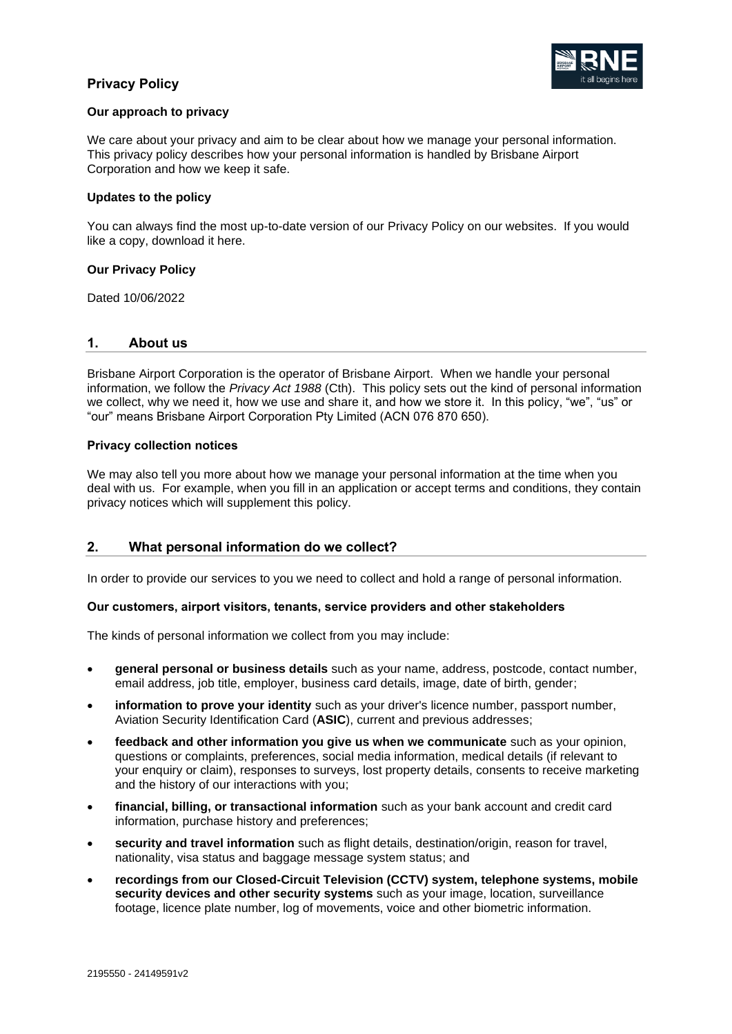

### **Our approach to privacy**

We care about your privacy and aim to be clear about how we manage your personal information. This privacy policy describes how your personal information is handled by Brisbane Airport Corporation and how we keep it safe.

### **Updates to the policy**

You can always find the most up-to-date version of our Privacy Policy on our websites. If you would like a copy, download it here.

### **Our Privacy Policy**

Dated 10/06/2022

## **1. About us**

Brisbane Airport Corporation is the operator of Brisbane Airport. When we handle your personal information, we follow the *Privacy Act 1988* (Cth). This policy sets out the kind of personal information we collect, why we need it, how we use and share it, and how we store it. In this policy, "we", "us" or "our" means Brisbane Airport Corporation Pty Limited (ACN 076 870 650).

### **Privacy collection notices**

We may also tell you more about how we manage your personal information at the time when you deal with us. For example, when you fill in an application or accept terms and conditions, they contain privacy notices which will supplement this policy.

# **2. What personal information do we collect?**

In order to provide our services to you we need to collect and hold a range of personal information.

### **Our customers, airport visitors, tenants, service providers and other stakeholders**

The kinds of personal information we collect from you may include:

- **general personal or business details** such as your name, address, postcode, contact number, email address, job title, employer, business card details, image, date of birth, gender;
- **information to prove your identity** such as your driver's licence number, passport number, Aviation Security Identification Card (**ASIC**), current and previous addresses;
- **feedback and other information you give us when we communicate** such as your opinion, questions or complaints, preferences, social media information, medical details (if relevant to your enquiry or claim), responses to surveys, lost property details, consents to receive marketing and the history of our interactions with you;
- **financial, billing, or transactional information** such as your bank account and credit card information, purchase history and preferences;
- **security and travel information** such as flight details, destination/origin, reason for travel, nationality, visa status and baggage message system status; and
- **recordings from our Closed-Circuit Television (CCTV) system, telephone systems, mobile**  security devices and other security systems such as your image, location, surveillance footage, licence plate number, log of movements, voice and other biometric information.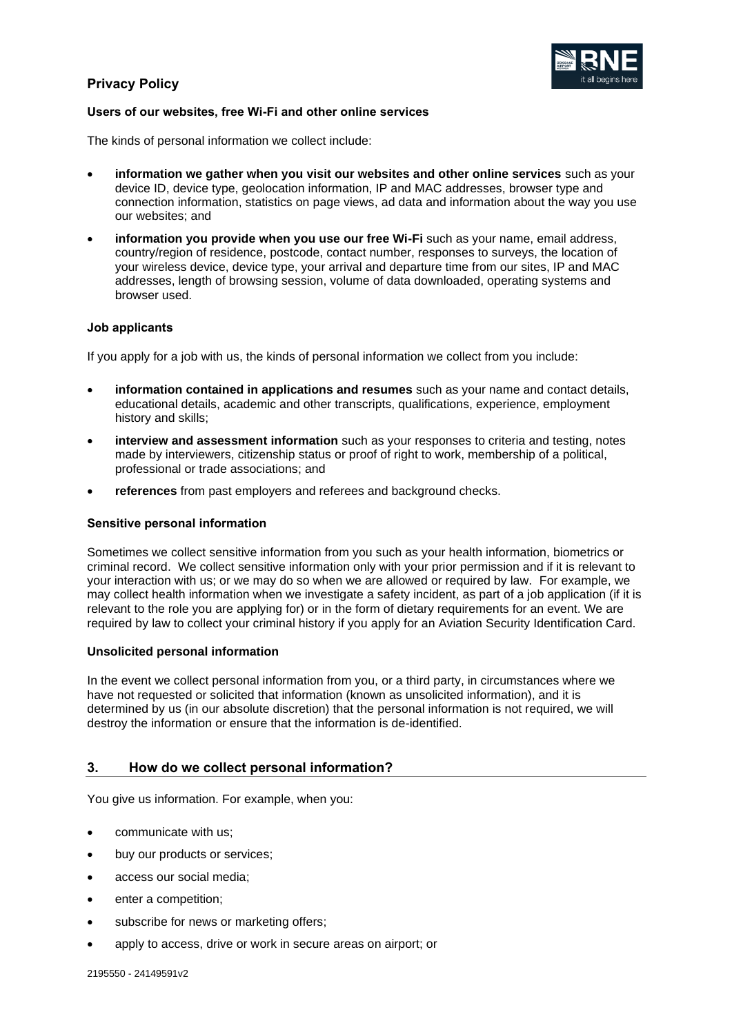

## **Users of our websites, free Wi-Fi and other online services**

The kinds of personal information we collect include:

- **information we gather when you visit our websites and other online services** such as your device ID, device type, geolocation information, IP and MAC addresses, browser type and connection information, statistics on page views, ad data and information about the way you use our websites; and
- **information you provide when you use our free Wi-Fi** such as your name, email address, country/region of residence, postcode, contact number, responses to surveys, the location of your wireless device, device type, your arrival and departure time from our sites, IP and MAC addresses, length of browsing session, volume of data downloaded, operating systems and browser used.

### **Job applicants**

If you apply for a job with us, the kinds of personal information we collect from you include:

- **information contained in applications and resumes** such as your name and contact details, educational details, academic and other transcripts, qualifications, experience, employment history and skills;
- **interview and assessment information** such as your responses to criteria and testing, notes made by interviewers, citizenship status or proof of right to work, membership of a political, professional or trade associations; and
- **references** from past employers and referees and background checks.

### **Sensitive personal information**

Sometimes we collect sensitive information from you such as your health information, biometrics or criminal record. We collect sensitive information only with your prior permission and if it is relevant to your interaction with us; or we may do so when we are allowed or required by law. For example, we may collect health information when we investigate a safety incident, as part of a job application (if it is relevant to the role you are applying for) or in the form of dietary requirements for an event. We are required by law to collect your criminal history if you apply for an Aviation Security Identification Card.

## **Unsolicited personal information**

In the event we collect personal information from you, or a third party, in circumstances where we have not requested or solicited that information (known as unsolicited information), and it is determined by us (in our absolute discretion) that the personal information is not required, we will destroy the information or ensure that the information is de-identified.

# **3. How do we collect personal information?**

You give us information. For example, when you:

- communicate with us;
- buy our products or services;
- access our social media;
- enter a competition:
- subscribe for news or marketing offers;
- apply to access, drive or work in secure areas on airport; or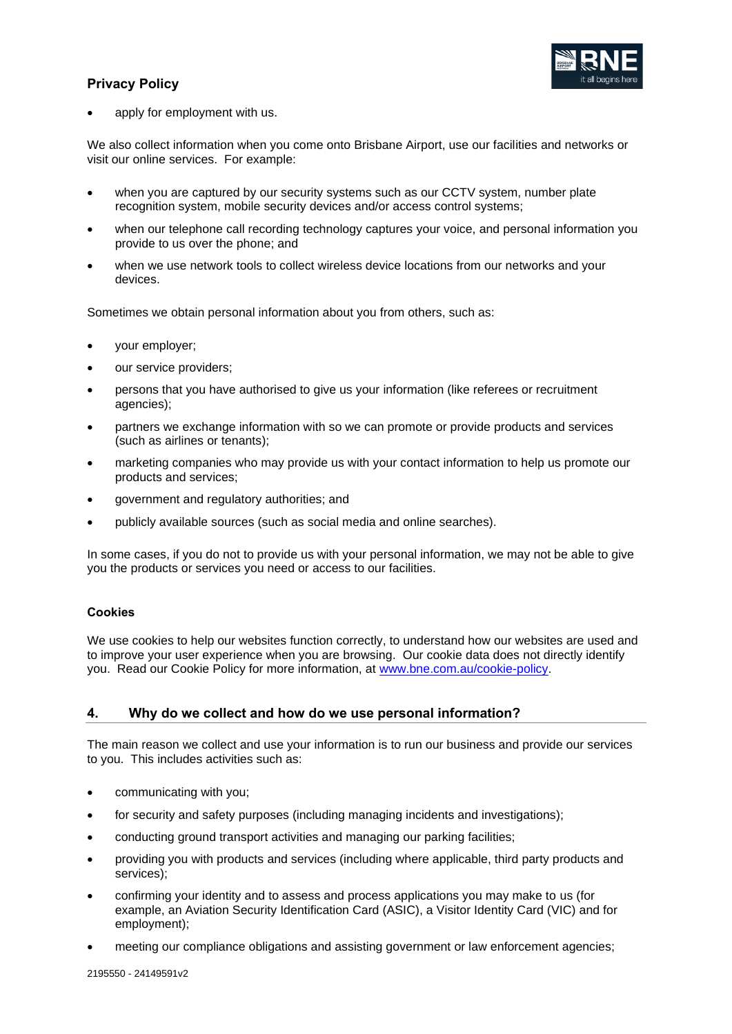

apply for employment with us.

We also collect information when you come onto Brisbane Airport, use our facilities and networks or visit our online services. For example:

- when you are captured by our security systems such as our CCTV system, number plate recognition system, mobile security devices and/or access control systems;
- when our telephone call recording technology captures your voice, and personal information you provide to us over the phone; and
- when we use network tools to collect wireless device locations from our networks and your devices.

Sometimes we obtain personal information about you from others, such as:

- your employer;
- our service providers;
- persons that you have authorised to give us your information (like referees or recruitment agencies);
- partners we exchange information with so we can promote or provide products and services (such as airlines or tenants);
- marketing companies who may provide us with your contact information to help us promote our products and services;
- government and regulatory authorities; and
- publicly available sources (such as social media and online searches).

In some cases, if you do not to provide us with your personal information, we may not be able to give you the products or services you need or access to our facilities.

# **Cookies**

We use cookies to help our websites function correctly, to understand how our websites are used and to improve your user experience when you are browsing. Our cookie data does not directly identify you. Read our Cookie Policy for more information, at [www.bne.com.au/cookie-policy.](http://www.bne.com.au/cookie-policy)

# <span id="page-2-0"></span>**4. Why do we collect and how do we use personal information?**

The main reason we collect and use your information is to run our business and provide our services to you. This includes activities such as:

- communicating with you;
- for security and safety purposes (including managing incidents and investigations);
- conducting ground transport activities and managing our parking facilities;
- providing you with products and services (including where applicable, third party products and services);
- confirming your identity and to assess and process applications you may make to us (for example, an Aviation Security Identification Card (ASIC), a Visitor Identity Card (VIC) and for employment);
- meeting our compliance obligations and assisting government or law enforcement agencies;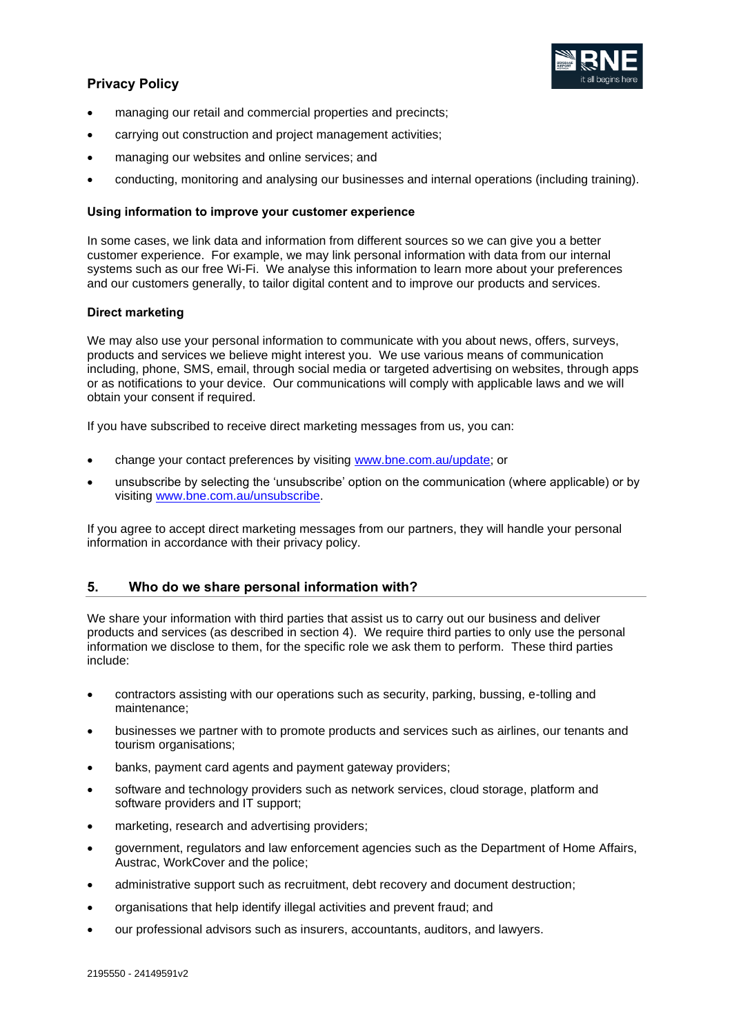

- managing our retail and commercial properties and precincts;
- carrying out construction and project management activities;
- managing our websites and online services; and
- conducting, monitoring and analysing our businesses and internal operations (including training).

### **Using information to improve your customer experience**

In some cases, we link data and information from different sources so we can give you a better customer experience. For example, we may link personal information with data from our internal systems such as our free Wi-Fi. We analyse this information to learn more about your preferences and our customers generally, to tailor digital content and to improve our products and services.

### **Direct marketing**

We may also use your personal information to communicate with you about news, offers, surveys, products and services we believe might interest you. We use various means of communication including, phone, SMS, email, through social media or targeted advertising on websites, through apps or as notifications to your device. Our communications will comply with applicable laws and we will obtain your consent if required.

If you have subscribed to receive direct marketing messages from us, you can:

- change your contact preferences by visiting [www.bne.com.au/update;](http://www.bne.com.au/update) or
- unsubscribe by selecting the 'unsubscribe' option on the communication (where applicable) or by visiting [www.bne.com.au/unsubscribe.](http://www.bne.com.au/unsubscribe)

If you agree to accept direct marketing messages from our partners, they will handle your personal information in accordance with their privacy policy.

# **5. Who do we share personal information with?**

We share your information with third parties that assist us to carry out our business and deliver products and services (as described in section [4\)](#page-2-0). We require third parties to only use the personal information we disclose to them, for the specific role we ask them to perform. These third parties include:

- contractors assisting with our operations such as security, parking, bussing, e-tolling and maintenance;
- businesses we partner with to promote products and services such as airlines, our tenants and tourism organisations;
- banks, payment card agents and payment gateway providers;
- software and technology providers such as network services, cloud storage, platform and software providers and IT support;
- marketing, research and advertising providers;
- government, regulators and law enforcement agencies such as the Department of Home Affairs, Austrac, WorkCover and the police;
- administrative support such as recruitment, debt recovery and document destruction;
- organisations that help identify illegal activities and prevent fraud; and
- our professional advisors such as insurers, accountants, auditors, and lawyers.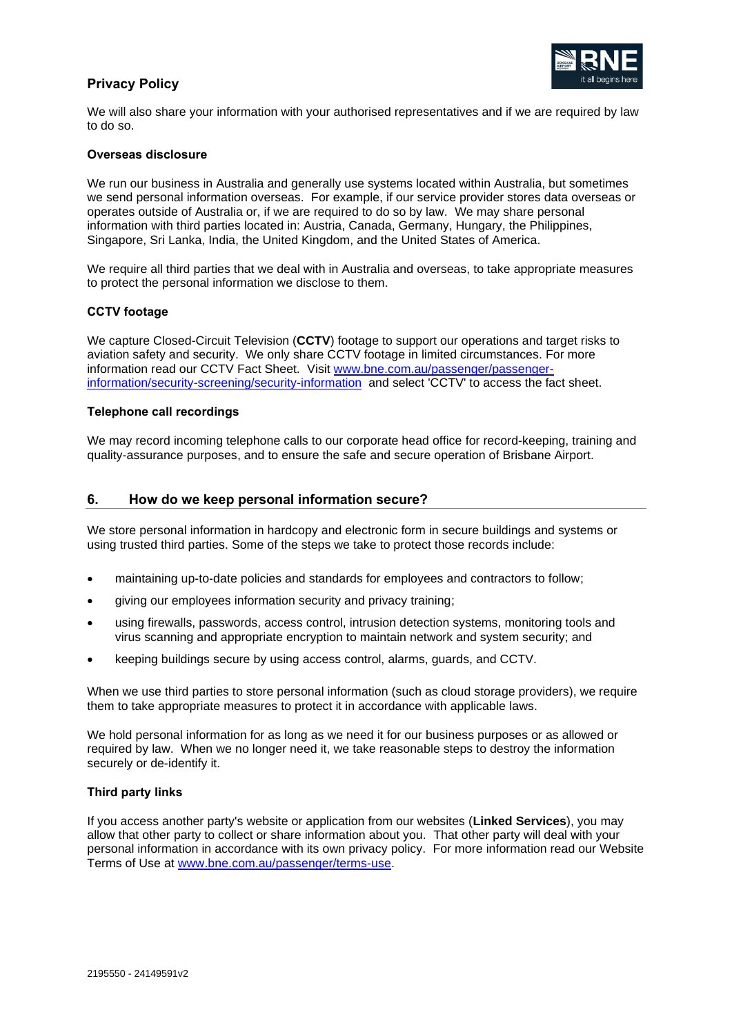

We will also share your information with your authorised representatives and if we are required by law to do so.

### **Overseas disclosure**

We run our business in Australia and generally use systems located within Australia, but sometimes we send personal information overseas. For example, if our service provider stores data overseas or operates outside of Australia or, if we are required to do so by law. We may share personal information with third parties located in: Austria, Canada, Germany, Hungary, the Philippines, Singapore, Sri Lanka, India, the United Kingdom, and the United States of America.

We require all third parties that we deal with in Australia and overseas, to take appropriate measures to protect the personal information we disclose to them.

#### **CCTV footage**

We capture Closed-Circuit Television (**CCTV**) footage to support our operations and target risks to aviation safety and security. We only share CCTV footage in limited circumstances. For more information read our CCTV Fact Sheet. Visit [www.bne.com.au/passenger/passenger](http://www.bne.com.au/passenger/passenger-information/security-screening/security-information)[information/security-screening/security-information](http://www.bne.com.au/passenger/passenger-information/security-screening/security-information) and select 'CCTV' to access the fact sheet.

#### **Telephone call recordings**

We may record incoming telephone calls to our corporate head office for record-keeping, training and quality-assurance purposes, and to ensure the safe and secure operation of Brisbane Airport.

### **6. How do we keep personal information secure?**

We store personal information in hardcopy and electronic form in secure buildings and systems or using trusted third parties. Some of the steps we take to protect those records include:

- maintaining up-to-date policies and standards for employees and contractors to follow;
- giving our employees information security and privacy training;
- using firewalls, passwords, access control, intrusion detection systems, monitoring tools and virus scanning and appropriate encryption to maintain network and system security; and
- keeping buildings secure by using access control, alarms, guards, and CCTV.

When we use third parties to store personal information (such as cloud storage providers), we require them to take appropriate measures to protect it in accordance with applicable laws.

We hold personal information for as long as we need it for our business purposes or as allowed or required by law. When we no longer need it, we take reasonable steps to destroy the information securely or de-identify it.

#### **Third party links**

If you access another party's website or application from our websites (**Linked Services**), you may allow that other party to collect or share information about you. That other party will deal with your personal information in accordance with its own privacy policy. For more information read our Website Terms of Use at [www.bne.com.au/passenger/terms-use.](http://www.bne.com.au/passenger/terms-use)